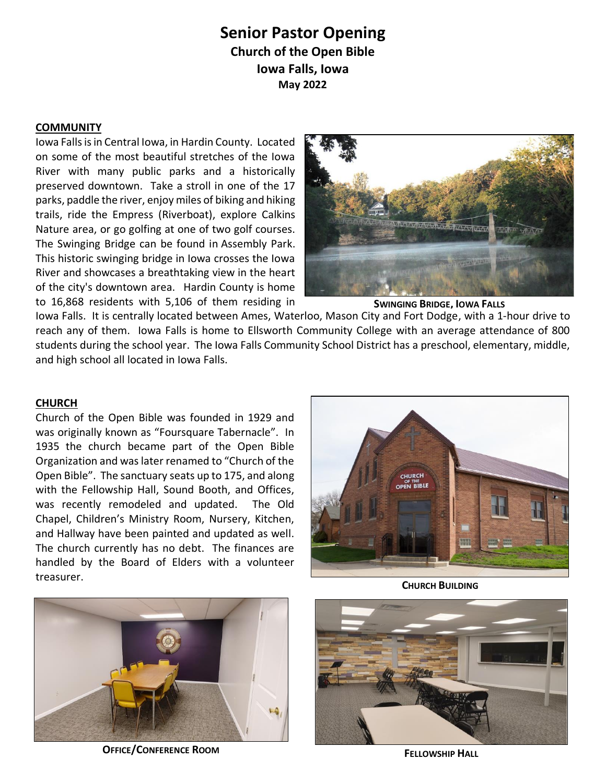# **Senior Pastor Opening Church of the Open Bible Iowa Falls, Iowa May 2022**

#### **COMMUNITY**

Iowa Falls is in Central Iowa, in Hardin County. Located on some of the most beautiful stretches of the Iowa River with many public parks and a historically preserved downtown. Take a stroll in one of the 17 parks, paddle the river, enjoy miles of biking and hiking trails, ride the Empress (Riverboat), explore Calkins Nature area, or go golfing at one of two golf courses. The Swinging Bridge can be found in Assembly Park. This historic swinging bridge in Iowa crosses the Iowa River and showcases a breathtaking view in the heart of the city's downtown area. Hardin County is home to 16,868 residents with 5,106 of them residing in



**SWINGING BRIDGE, IOWA FALLS**

Iowa Falls. It is centrally located between Ames, Waterloo, Mason City and Fort Dodge, with a 1-hour drive to reach any of them. Iowa Falls is home to Ellsworth Community College with an average attendance of 800 students during the school year. The Iowa Falls Community School District has a preschool, elementary, middle, and high school all located in Iowa Falls.

#### **CHURCH**

Church of the Open Bible was founded in 1929 and was originally known as "Foursquare Tabernacle". In 1935 the church became part of the Open Bible Organization and waslater renamed to "Church of the Open Bible". The sanctuary seats up to 175, and along with the Fellowship Hall, Sound Booth, and Offices, was recently remodeled and updated. The Old Chapel, Children's Ministry Room, Nursery, Kitchen, and Hallway have been painted and updated as well. The church currently has no debt. The finances are handled by the Board of Elders with a volunteer treasurer.



**CHURCH BUILDING**



**OFFICE/CONFERENCE ROOM**